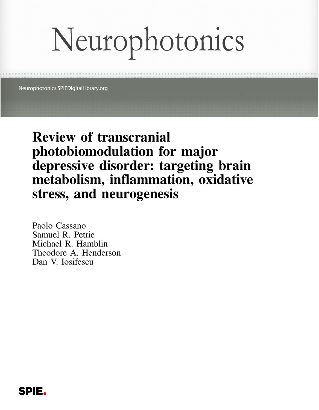# Neurophotonics

Neurophotonics.SPIEDigitalLibrary.org

## Review of transcranial photobiomodulation for major depressive disorder: targeting brain metabolism, inflammation, oxidative stress, and neurogenesis

Paolo Cassano Samuel R. Petrie Michael R. Hamblin Theodore A. Henderson Dan V. Iosifescu

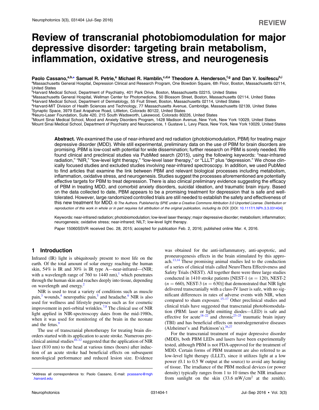### <span id="page-1-0"></span>Review of transcranial photobiomodulation for major depressive disorder: targeting brain metabolism, inflammation, oxidative stress, and neurogenesis

**Paolo Cassano,ªb[,\\*](#page-1-0) Samuel R. Petrie,ª Michael R. Hamblin,<sup>c,d,e</sup> Theodore A. Henderson,<sup>f,g</sup> and Dan V. Iosifescu<sup>h,i</sup><br>ªMassachusetts General Hospital, Depression Clinical and Research Program, One Bowdoin Square, 6th Flo** United States

b Harvard Medical School, Department of Psychiatry, 401 Park Drive, Boston, Massachusetts 02215, United States

c Massachusetts General Hospital, Wellman Center for Photomedicine, 50 Blossom Street, Boston, Massachusetts 02114, United States

<sup>d</sup>Harvard Medical School, Department of Dermatology, 55 Fruit Street, Boston, Massachusetts 02114, United States

e Harvard-MIT Division of Health Sciences and Technology, 77 Massachusetts Avenue, Cambridge, Massachusetts 02139, United States f Synaptic Space, 3979 East Arapahoe Road, Littleton, Colorado 80122, United States

g Neuro-Laser Foundation, Suite 420, 215 South Wadsworth, Lakewood, Colorado 80226, United States

h Mount Sinai Medical School, Mood and Anxiety Disorders Program, 1428 Madison Avenue, New York, New York 10029, United States

i Mount Sinai Medical School, Department of Psychiatry and Neuroscience, 1 Gustave L. Levy Place, New York, New York 10029, United States

Abstract. We examined the use of near-infrared and red radiation (photobiomodulation, PBM) for treating major depressive disorder (MDD). While still experimental, preliminary data on the use of PBM for brain disorders are promising. PBM is low-cost with potential for wide dissemination; further research on PBM is sorely needed. We found clinical and preclinical studies via PubMed search (2015), using the following keywords: "near-infrared radiation," "NIR," "low-level light therapy," "low-level laser therapy," or "LLLT" plus "depression." We chose clinically focused studies and excluded studies involving near-infrared spectroscopy. In addition, we used PubMed to find articles that examine the link between PBM and relevant biological processes including metabolism, inflammation, oxidative stress, and neurogenesis. Studies suggest the processes aforementioned are potentially effective targets for PBM to treat depression. There is also clinical preliminary evidence suggesting the efficacy of PBM in treating MDD, and comorbid anxiety disorders, suicidal ideation, and traumatic brain injury. Based on the data collected to date, PBM appears to be a promising treatment for depression that is safe and welltolerated. However, large randomized controlled trials are still needed to establish the safety and effectiveness of this new treatment for MDD. © The Authors. Published by SPIE under a Creative Commons Attribution 3.0 Unported License. Distribution or reproduction of this work in whole or in part requires full attribution of the original publication, including its DOI. [DOI: [10.1117/1.NPh.3.3.031404](http://dx.doi.org/10.1117/1.NPh.3.3.031404)]

Keywords: near-infrared radiation; photobiomodulation; low-level laser therapy; major depressive disorder; metabolism; inflammation; neurogenesis; oxidative stress; near-infrared; NILT; low-level light therapy.

Paper 15060SSVR received Dec. 28, 2015; accepted for publication Feb. 2, 2016; published online Mar. 4, 2016.

#### 1 Introduction

Infrared (IR) light is ubiquitously present to most life on the earth. Of the total amount of solar energy reaching the human skin, 54% is IR and 30% is IR type A—near-infrared—(NIR; with a wavelength range of 760 to 1440 nm),<sup>1</sup> which penetrates through the human skin and reaches deeply into tissue, depending on wavelength and energy. $2$ 

NIR is used to treat a variety of conditions such as muscle pain, $3$  wounds, $4$  neuropathic pain, $5$  and headache.<sup>[6](#page-8-0)</sup> NIR is also used for wellness and lifestyle purposes such as for cosmetic improvement in peri-orbital wrinkles.<sup>[7,8](#page-8-0)</sup> The clinical use of NIR light applied in NIR-spectroscopy dates from the mid-1980s, when it was used for monitoring of the brain in the neonate and the fetus.<sup>9</sup>

The use of transcranial phototherapy for treating brain disorders started with its application to acute stroke. Numerous pre-clinical animal studies<sup>[10](#page-8-0)–[12](#page-8-0)</sup> suggested that the application of NIR laser (810 nm) to the head at various times (hours) after induction of an acute stroke had beneficial effects on subsequent neurological performance and reduced lesion size. Evidence was obtained for the anti-inflammatory, anti-apoptotic, and proneurogenesis effects in the brain stimulated by this approach.[13,14](#page-8-0) These promising animal studies led to the conduction of a series of clinical trials called NeuroThera Effectiveness and Safety Trials (NEST). All together there were three large studies conducted in 1410 stroke patients [NEST-1  $(n = 120)$ , NEST-2  $(n = 660)$ , NEST-3  $(n = 630)$ ] that demonstrated that NIR light delivered transcranially with a class-IV laser is safe, with no significant differences in rates of adverse events with NIR, when compared to sham exposure.<sup>[15](#page-8-0)–[17](#page-8-0)</sup> Other preclinical studies and clinical trials have suggested that transcranial photobiomodulation (PBM: laser or light emitting diodes—LED) is safe and effective for acute<sup>[18](#page-8-0)–[22](#page-8-0)</sup> and chronic<sup>23–[25](#page-8-0)</sup> traumatic brain injury (TBI) and has beneficial effects on neurodegenerative diseases (Alzheimer's and Parkinson's).<sup>[26,27](#page-8-0)</sup>

For the transcranial treatment of major depressive disorder (MDD), both PBM LEDs and lasers have been experimentally tested, although PBM is not FDA-approved for the treatment of MDD. Certain forms of PBM treatment are also referred to as low-level light therapy (LLLT), since it utilizes light at a low power (0.1 to 0.5 W output at the source) to avoid any heating of tissue. The irradiance of the PBM medical devices (or power density) typically ranges from 1 to 10 times the NIR irradiance from sunlight on the skin  $(33.6 \text{ mW/cm}^2$  at the zenith).

<sup>\*</sup>Address all correspondence to: Paolo Cassano, E-mail: pcassano@mgh [.harvard.edu](mailto://(null)pcassano@mgh.harvard.edu)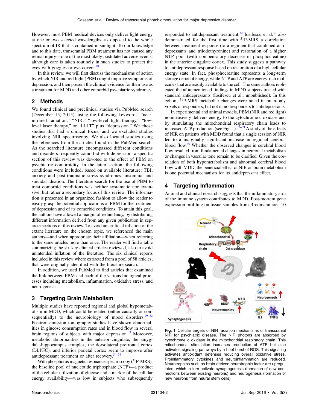<span id="page-2-0"></span>However, most PBM medical devices only deliver light energy at one or two selected wavelengths, as opposed to the whole spectrum of IR that is contained in sunlight. To our knowledge and to this date, transcranial PBM treatment has not caused any retinal injury—one of the most likely postulated adverse events, although care is taken routinely in such studies to protect the eyes with goggles or eye covers.<sup>[28](#page-8-0)</sup>

In this review, we will first discuss the mechanisms of action by which NIR and red light (PBM) might improve symptoms of depression, and then present the clinical evidence for their use as a treatment for MDD and other comorbid psychiatric syndromes.

#### 2 Methods

We found clinical and preclinical studies via PubMed search (December 15, 2015), using the following keywords: "nearinfrared radiation," "NIR," "low-level light therapy," "lowlevel laser therapy," or "LLLT" plus "depression." We chose studies that had a clinical focus, and we excluded studies involving NIR spectroscopy. We also located studies using the references from the articles found in the PubMed search. As the searched literature encompassed different conditions and disorders frequently comorbid with depression, a specific section of this review was devoted to the effect of PBM on psychiatric comorbidity. In the latter section, the following conditions were included, based on available literature: TBI, anxiety and post-traumatic stress syndromes, insomnia, and suicidal ideation. The literature search for the use of PBM to treat comorbid conditions was neither systematic nor extensive, but rather a secondary focus of this review. The information is presented in an organized fashion to allow the reader to easily grasp the potential applications of PBM for the treatment of depression and of its comorbid conditions. To attain this goal, the authors have allowed a margin of redundancy, by distributing different information derived from any given publication in separate sections of this review. To avoid an artificial inflation of the extant literature on the chosen topic, we referenced the main authors—and when appropriate their affiliation—when referring to the same articles more than once. The reader will find a table summarizing the six key clinical articles reviewed, also to avoid unintended inflation of the literature. The six clinical reports included in this review where extracted from a pool of 58 articles, that were originally identified with the literature search.

In addition, we used PubMed to find articles that examined the link between PBM and each of the various biological processes including metabolism, inflammation, oxidative stress, and neurogenesis.

#### 3 Targeting Brain Metabolism

Multiple studies have reported regional and global hypometabolism in MDD, which could be related (either causally or con-sequentially) to the neurobiology of mood disorders.<sup>29-[32](#page-8-0)</sup> Positron emission tomography studies have shown abnormalities in glucose consumption rates and in blood flow in several brain regions of subjects with major depression.<sup>[33](#page-8-0)</sup> Moreover, metabolic abnormalities in the anterior cingulate, the amygdala-hippocampus complex, the dorsolateral prefrontal cortex (DLPFC), and inferior parietal cortex seem to improve after antidepressant treatment or after recovery. $34-36$  $34-36$ 

With phosphorus magnetic resonance spectroscopy  $(^{31}P-MRS)$ , the baseline pool of nucleotide triphosphate (NTP)—a product of the cellular utilization of glucose and a marker of the cellular energy availability—was low in subjects who subsequently responded to antidepressant treatment.<sup>[32](#page-8-0)</sup> Iosifescu et al.<sup>32</sup> also demonstrated for the first time with 31P-MRS a correlation between treatment response (to a regimen that combined antidepressants and triiodothyronine) and restoration of a higher NTP pool (with compensatory decrease in phosphocreatine) in the anterior cingulate cortex. This study suggests a pathway to antidepressant response based on restoration of a high cellular energy state. In fact, phosphocreatine represents a long-term storage depot of energy, while NTP and ATP are energy-rich molecules that are readily available to the cell. The same authors replicated the aforementioned findings in MDD subjects treated with standard antidepressants (Iosifescu et al., unpublished). In this cohort, 31P-MRS metabolite changes were noted in brain-only voxels of responders, but not in nonresponders to antidepressants.

In experimental and animal models, PBM (NIR and red light) noninvasively delivers energy to the cytochrome c oxidase and by stimulating the mitochondrial respiratory chain leads to increased ATP production (see Fig.  $1$ ).<sup>[37](#page-8-0)–[39](#page-9-0)</sup> A study of the effects of NIR on patients with MDD found that a single session of NIR led to a marginally significant increase in regional cerebral blood flow.[40](#page-9-0) Whether the observed changes in cerebral blood flow resulted from fundamental changes in neuronal metabolism or changes in vascular tone remain to be clarified. Given the correlation of both hypometabolism and abnormal cerebral blood flow with MDD, the beneficial effect of NIR on brain metabolism is one potential mechanism for its antidepressant effect.

#### 4 Targeting Inflammation

Animal and clinical research suggests that the inflammatory arm of the immune system contributes to MDD. Post-mortem gene expression profiling on tissue samples from Brodmann area 10



Fig. 1 Cellular targets of NIR radiation mechanisms of transcranial NIR for psychiatric disease. The NIR photons are absorbed by cytochrome c oxidase in the mitochondrial respiratory chain. This mitochondrial stimulation increases production of ATP but also activates signaling pathways by a brief burst of ROS. This signaling activates antioxidant defenses reducing overall oxidative stress. Proinflammatory cytokines and neuroinflammation are reduced. Neurotrophins such as brain-derived neurotrophic factor are upregulated, which in turn activate synaptogenesis (formation of new connections between existing neurons) and neurogenesis (formation of new neurons from neural stem cells).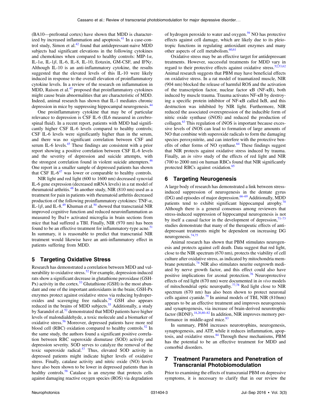(BA10—prefrontal cortex) have shown that MDD is characterized by increased inflammation and apoptosis.<sup>41</sup> In a case-control study, Simon et al. $42$  found that antidepressant-naive MDD subjects had significant elevations in the following cytokines and chemokines when compared to healthy controls: MIP-1 $\alpha$ , IL-1 $\alpha$ , IL-1 $\beta$ , IL-6, IL-8, IL-10, Eotaxin, GM-CSF, and IFN $\gamma$ . Although IL-10 is an anti-inflammatory cytokine, the results suggested that the elevated levels of this IL-10 were likely induced in response to the overall elevation of proinflammatory cytokine levels. In a review of the research on inflammation in  $MDD$ , Raison et al. $43$  proposed that proinflammatory cytokines might cause brain abnormalities that are characteristic of MDD. Indeed, animal research has shown that IL-1 mediates chronic depression in mice by suppressing hippocampal neurogenesis.<sup>44</sup>

One proinflammatory cytokine that may be of particular relevance to depression is CSF IL-6 (IL6 measured in cerebrospinal fluid). In a recent report, patients with MDD had significantly higher CSF IL-6 levels compared to healthy controls; CSF IL-6 levels were significantly higher than in the serum, and there was no significant correlation between CSF and serum IL-6 levels.<sup>[45](#page-9-0)</sup> These findings are consistent with a prior report showing a positive correlation between CSF IL-6 levels and the severity of depression and suicide attempts, with the strongest correlation found in violent suicide attempters.<sup>[46](#page-9-0)</sup> One report in a smaller sample of depressed patients has shown that CSF IL- $6^{47}$  $6^{47}$  $6^{47}$  was lower or comparable to healthy controls.

NIR light and red light (600 to 1600 nm) decreased synovial IL-6 gene expression (decreased mRNA levels) in a rat model of rheumatoid arthritis. $48 \text{ In another study, NIR } (810 \text{ nm})$  $48 \text{ In another study, NIR } (810 \text{ nm})$  used as a treatment for pain in patients with rheumatoid arthritis decreased production of the following proinflammatory cytokines: TNF- $\alpha$ , IL-1 $\beta$ , and IL-8.<sup>[49](#page-9-0)</sup> Khuman et al.<sup>[50](#page-9-0)</sup> showed that transcranial NIR improved cognitive function and reduced neuroinflammation as measured by Iba1+ activated microglia in brain sections from mice that had suffered a TBI. Finally, NIR (970 nm) has been found to be an effective treatment for inflammatory-type acne.<sup>51</sup> In summary, it is reasonable to predict that transcranial NIR treatment would likewise have an anti-inflammatory effect in patients suffering from MDD.

#### 5 Targeting Oxidative Stress

Research has demonstrated a correlation between MDD and vulnerability to oxidative stress. $52$  For example, depression-induced rats show a significant decrease in glutathione peroxidase (GSH- $Px)$  activity in the cortex.<sup>[53](#page-9-0)</sup> Glutathione (GSH) is the most abundant and one of the important antioxidants in the brain; GSH-Px enzymes protect against oxidative stress via reducing hydroper-oxides and scavenging free radicals.<sup>[54](#page-9-0)</sup> GSH also appears reduced in the brains of MDD subjects.<sup>55</sup> Additionally, a study by Sarandol et al.<sup>[52](#page-9-0)</sup> demonstrated that MDD patients have higher levels of malondialdehyde, a toxic molecule and a biomarker of oxidative stress.<sup>56</sup> Moreover, depressed patients have more red blood cell (RBC) oxidation compared to healthy controls. $52$  In the same study, the authors found a significant positive correlation between RBC superoxide dismutase (SOD) activity and depression severity. SOD serves to catalyze the removal of the toxic superoxide radical. $57$  Thus, elevated SOD activity in depressed patients might indicate higher levels of oxidative stress. Finally, catalase activity and nitric oxide (NO) levels have also been shown to be lower in depressed patients than in healthy controls. $58$  Catalase is an enzyme that protects cells against damaging reactive oxygen species (ROS) via degradation of hydrogen peroxide to water and oxygen.<sup>59</sup> NO has protective effects against cell damage, which are likely due to its pleiotropic functions in regulating antioxidant enzymes and many other aspects of cell metabolism. $60,61$ 

Oxidative stress may be an effective target for antidepressant treatments. However, successful treatments for MDD vary in regard to their protective effects against oxidative stress. $52,53,62$ Animal research suggests that PBM may have beneficial effects on oxidative stress. In a rat model of traumatized muscle, NIR (904 nm) blocked the release of harmful ROS and the activation of the transcription factor, nuclear factor κB (NF-κB), both induced by muscle trauma. Trauma activates NF-κB by destroying a specific protein inhibitor of NF-κB called IκB, and this destruction was inhibited by NIR light. Furthermore, NIR reduced the associated overexpression of the inducible form of nitric oxide synthase (iNOS) and reduced the production of collagen.<sup>[63](#page-9-0)</sup> This regulation of iNOS is important because excessive levels of iNOS can lead to formation of large amounts of NO that combine with superoxide radicals to form the damaging species peroxynitrite, and can interfere with the protective benefits of other forms of NO synthase. $64$  These findings suggest that NIR protects against oxidative stress induced by trauma. Finally, an in vitro study of the effects of red light and NIR (700 to 2000 nm) on human RBCs found that NIR significantly protected RBCs against oxidation.<sup>65</sup>

#### 6 Targeting Neurogenesis

A large body of research has demonstrated a link between stressinduced suppression of neurogenesis in the dentate gyrus  $(DG)$  and episodes of major depression.<sup>[66](#page-9-0)–[69](#page-9-0)</sup> Additionally, MDD patients tend to exhibit significant hippocampal atrophy. $\frac{70}{10}$  $\frac{70}{10}$  $\frac{70}{10}$ Although there is a general consensus among reviewers that stress-induced suppression of hippocampal neurogenesis is not by itself a causal factor in the development of depression,  $71-73$  $71-73$  $71-73$ studies demonstrate that many of the therapeutic effects of antidepressant treatments might be dependent on increasing DG neurogenesis.[74](#page-9-0),[75](#page-9-0)

Animal research has shown that PBM stimulates neurogenesis and protects against cell death. Data suggest that red light, close to the NIR spectrum (670 nm), protects the viability of cell culture after oxidative stress, as indicated by mitochondria membrane potentials. $74$  NIR also stimulates neurite outgrowth mediated by nerve growth factor, and this effect could also have positive implications for axonal protection.<sup>[76](#page-9-0)</sup> Neuroprotective effects of red light (670 nm) were documented in in vivo models of mitochondrial optic neuropathy.[77,78](#page-9-0) Red light close to NIR spectrum (670 nm) has also been shown to protect neuronal cells against cyanide.<sup>79</sup> In animal models of TBI, NIR  $(810nm)$ appears to be an effective treatment and improves neurogenesis and synaptogenesis, via increase of brain-derived neurotrophic factor (BDNF).[18](#page-8-0),[20,](#page-8-0)[80](#page-9-0)–[82](#page-9-0) In addition, NIR improves memory performance in middle-aged mice. $83$ 

In summary, PBM increases neurotrophins, neurogenesis, synaptogenesis, and ATP, while it reduces inflammation, apop-tosis, and oxidative stress.<sup>[84](#page-9-0)</sup> Through these mechanisms, PBM has the potential to be an effective treatment for MDD and comorbid disorders.

#### 7 Treatment Parameters and Penetration of Transcranial Photobiomodulation

Prior to examining the effects of transcranial PBM on depressive symptoms, it is necessary to clarify that in our review the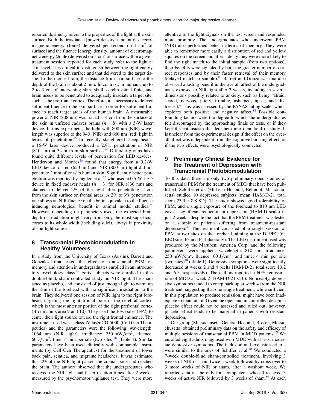reported dosimetry refers to the properties of the light at the skin surface. Both the irradiance [power density: amount of electromagnetic energy (Joule) delivered per second on  $1 \text{ cm}^2$  of surface] and the fluence [energy density: amount of electromagnetic energy (Joule) delivered on  $1 \text{ cm}^2$  of surface within a given treatment session] reported for each study refer to the light at skin level. It is critical to distinguish between the light energy delivered to the skin surface and that delivered to the target tissue. In the mouse brain, the distance from skin surface to the depth of the brain is about 2 mm. In contrast, in humans, up to 2 to 3 cm of intervening skin, skull, cerebrospinal fluid, and brain needs to be penetrated to adequately irradiate a target site, such as the prefrontal cortex. Therefore, it is necessary to deliver sufficient fluence to the skin surface in order for sufficient fluence to reach target areas of the human brain. A measurable power of NIR (808 nm) was traced at 4 cm from the surface of the skin in unfixed cadaver brains  $(n = 8)$  with a 5-W laser device. In this experiment, the light with 808 nm (NIR) wavelength was superior to the 940 (NIR) and 660 nm (red) light in terms of penetration.<sup>[85](#page-9-0)</sup> In recently slaughtered sheep heads, a 15-W laser device produced a 2.9% penetration of NIR  $(810 \text{ nm})$  at 3 cm from skin surface.<sup>[86](#page-9-0)</sup> Different groups have found quite different levels of penetration for LED devices. Henderson and Morries $86$  found that energy from a 0.2-W LED device for red (650 nm) and NIR (800 nm) light did not penetrate 2 mm of ex vivo human skin. Significantly better penetration was reported by Jagdeo et al. $87$  who used a 0.5-W LED device in fixed cadaver heads  $(n = 3)$  for NIR (830 nm) and claimed to deliver 2% of the light after penetrating 1 cm from the skin surface on frontal areas. A 2% to 3% penetration rate allows an NIR fluence on the brain equivalent to the fluence inducing neurological benefit in animal model studies. $84$ However, depending on parameters used, the expected brain depth of irradiation might vary from only the most superficial cortex to its whole width (including sulci), always in proximity of the light source.

#### 8 Transcranial Photobiomodulation in Healthy Volunteers

In a study from the University of Texas (Austin), Barrett and Gonzalez-Lima tested the effect of transcranial PBM on memory and attention in undergraduates enrolled in an introduc-tory psychology class.<sup>[88](#page-10-0)</sup> Forty subjects were enrolled in this double-blind, sham controlled study on NIR light. The sham acted as placebo, and consisted of just enough light to warm up the skin of the forehead with no significant irradiation to the brain. They delivered one session of NIR light to the right forehead, targeting the right frontal pole of the cerebral cortex, which is the most anterior portion of the right prefrontal cortex (Brodmann's area 9 and 10). They used the EEG sites (FP2) to center their light source toward the right frontal eminence. The instrument used was a class-IV laser CG-5000 (Cell Gen Therapeutics) and the parameters were the following: wavelength: 1064 nm (NIR light), irradiance: 250 mW∕cm<sup>2</sup>, fluence: 60 J/cm<sup>2</sup>, time: 4 min per site (two sites)<sup>[88](#page-10-0)</sup> (Table 1). Similar parameters have been used clinically with comparable instruments (by Cell Gen Therapeutics) for the treatment of lower back pain, sciatica, and migraine headaches. It was estimated that 2% of the NIR light passed the cranial bone and reached the brain. The authors observed that the undergraduates who received the NIR light had faster reaction times after 2 weeks, measured by the psychomotor vigilance test. They were more attentive to the light signals on the test screen and responded more promptly. The undergraduates who underwent PBM (NIR) also performed better in terms of memory. They were able to remember more easily a distribution of red and yellow squares on the screen and after a delay they were more likely to find the right match to the initial sample (from two options); their benefits were signaled by both the greater number of correct responses and by their faster retrieval of their memory (delayed match to sample).[88](#page-10-0) Barrett and Gonzalez-Lima also observed a lasting benefit in the overall affect of the undergraduates exposed to NIR light after 2 weeks, including in several dimensions possibly related to anxiety, such as being "afraid, scared, nervous, jittery, irritable, ashamed, upset, and distressed." This was assessed by the PANAS rating scale, which explores both positive and negative affect.<sup>88</sup> Possible confounding factors were the degree to which the undergraduates felt discouraged by the approaching finals or tests, or if they kept the enthusiasm that led them into their field of study. It is unclear from the experimental design if the effect on the overall affect was independent from the cognitive boosting effect, or if the two effects were psychologically connected.

#### 9 Preliminary Clinical Evidence for the Treatment of Depression with Transcranial Photobiomodulation

To this date, there are only two preliminary open studies of transcranial PBM for the treatment of MDD that have been published. Schiffer et al. (McLean Hospital, Belmont, Massachusetts) studied 10 depressed subjects (mean HAM-D-21 total score  $23.9 \pm 8.8$  SD). The study showed good tolerability of PBM, and a single exposure of the forehead to 810 nm LED gave a significant reduction in depression (HAM-D scale) in just 2 weeks, despite the fact that the PBM treatment was tested on a sample of patients suffering from treatment-resistant depression. $40$  The treatment consisted of a single session of PBM at two sites on the forehead, aiming at the DLPFC (on EEG sites F3 and F4 bilaterally). The LED instrument used was produced by the Marubeni America Corp. and the following parameters were applied: wavelength: 810 nm, irradiance: 250 mW/cm<sup>2</sup>, fluence: 60 J/cm<sup>2</sup>, and time: 4 min per site (two sites) $40$  (Table 1). Depressive symptoms were significantly decreased at weeks 2 and 4 (delta HAM-D-21 total score 13.2 and 6.5, respectively). The authors reported a 60% remission rate of MDD at week 2 (HAM-D-21 <10). Noticeably, depressive symptoms tended to creep back up at week 4 from the NIR treatment, suggesting that one single treatment, while sufficient in this population to produce remission, might have been inadequate to maintain it. Given the open and uncontrolled design, a placebo effect could not be assessed and ruled out; however, placebo effect tends to be marginal in patients with resistant depression.

Our group (Massachusetts General Hospital, Boston, Massachusetts) obtained preliminary data on the safety and efficacy of multiple sessions of transcranial PBM in MDD patients.<sup>89</sup> We enrolled eight adults diagnosed with MDD with at least moderate depressive symptoms. The inclusion and exclusion criteria were similar to the ones of Schiffer et al. $40$  We conducted a 7-week double-blind sham-controlled treatment, involving 3 weeks of NIR or sham twice a week followed by cross-over to 3 more weeks of NIR or sham, after a washout week. We reported data on the only four completers, who all received 3 weeks of active NIR followed by 3 weeks of sham.<sup>[89](#page-10-0)</sup> At each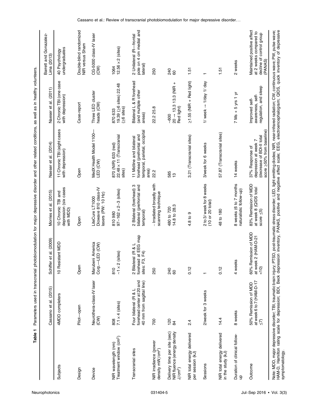| Table <sub>1</sub>                                                       |                                                                                 |                                                             |                                                                    | Parameters used in transcranial photobiomodulation for major depressive disorder and other related conditions, as well as in healthy volunteers                                                                                   |                                                                    |                                                                                             |
|--------------------------------------------------------------------------|---------------------------------------------------------------------------------|-------------------------------------------------------------|--------------------------------------------------------------------|-----------------------------------------------------------------------------------------------------------------------------------------------------------------------------------------------------------------------------------|--------------------------------------------------------------------|---------------------------------------------------------------------------------------------|
|                                                                          | Cassano et al. (2015)                                                           | et al. (2009)<br>Schiffer                                   | Morries et al. (2015)                                              | Naeser et al. (2014)                                                                                                                                                                                                              | Naeser et al. (2011)                                               | Barrett and Gonazalez-<br>Lima (2013)                                                       |
| Subjects                                                                 | 4MDD completers                                                                 | 10 Resistant MDD                                            | depression (six cases<br>10 Chronic TBI and<br>with MDD)           | 11 Chronic TBI (eight cases<br>with depression)                                                                                                                                                                                   | 2 Chronic TBI (one case<br>with depression)                        | undergraduates<br>40 Psychology                                                             |
| Design                                                                   | Pilot-open                                                                      | Open                                                        | Open                                                               | Open                                                                                                                                                                                                                              | Case-report                                                        | Double-blind randomized<br>NIR versus Sham                                                  |
| Device                                                                   | Neurothera-class-IV laser<br>(CW)                                               | Marubeni America<br>-LED (CW)<br>Corp.-                     | Diowave 810 class-IV<br>lasers (PW: 10 Hz)<br>LiteCure LT1000      | MedX Health Model 1100-<br>LED (CW)                                                                                                                                                                                               | Three LED cluster<br>heads (CW)                                    | CG-5000 class-IV laser<br>(SM)                                                              |
| Treatment window (cm <sup>2</sup> )<br>NIR wavelength (nm)               | $7.1 \times 4$ (sites)<br>808                                                   | (sites)<br>$~1 \times 2$<br>810                             | $97 - 162 \times 2 - 3$ (sites)<br>810980                          | $22.48 \times 11$ (Transcranial<br>870 (NIR) 633 (red)<br>sites)                                                                                                                                                                  | 19.39 ( $\geq$ 6 sites) 22.48<br>(26 sites)<br>870 633             | $12.56 \times 2$ (sites)<br>1064                                                            |
| Transcranial sites                                                       | forehead center at 20 and<br>40 mm from sagittal line)<br>Four bilateral (R & L | forehead at EEG map<br>2 Bilateral (R & L<br>sites: F3, F4) | bilateral (prefrontal and<br>2 Bilateral (forehead) 3<br>temporal) | temporal, parietal, occipital<br>forehead (prefrontal and<br>11 Midline and bilateral<br>area)                                                                                                                                    | Bilateral L & R forehead<br>(and multiple other<br>areas)          | pole on 4 cm medial and<br>2 Unilateral (R-frontal<br>lateral)                              |
| NIR irradiance (power<br>density mW/cm <sup>2</sup> )                    | 700                                                                             | 250                                                         | - Irradiated broadly with<br>scanning technique                    | 22.2                                                                                                                                                                                                                              | 22.2 25.8                                                          | 250                                                                                         |
| Delivery time per site (sec)<br>NIR fluence (energy density<br>$J/cm2$ ) | 120<br>$\mathfrak{A}$                                                           | 24<br>60                                                    | 14.8 to 28.3<br>480 to 720                                         | 585<br>13                                                                                                                                                                                                                         | $\ddot{}$<br>$20 \rightarrow 13.3$ 13.3 (NIR<br>Red light)<br>~800 | 240                                                                                         |
| NIR total energy delivered<br>per session (kJ)                           | 2.4                                                                             | 0.12                                                        | თ<br>4.8 to                                                        | 3.21 (Transcranial sites)                                                                                                                                                                                                         | $\geq$ 1.55 (NIR + Red light)                                      | 1.51                                                                                        |
| Sessions                                                                 | 2/week for 3 weeks                                                              |                                                             | 2 to 3/ week for 8 weeks<br>$(10$ or 20 total)                     | 3/week for 6 weeks                                                                                                                                                                                                                | 1/ week $\rightarrow$ 1/day 1/ day                                 | $\overline{ }$                                                                              |
| NIR total energy delivered<br>in the study (kJ)                          | 14.4                                                                            | 0.12                                                        | 48 to 180                                                          | 57.87 (Transcranial sites)                                                                                                                                                                                                        |                                                                    | 1.51                                                                                        |
| Duration of clinical follow-<br>$\overline{a}$                           | 8 weeks                                                                         | 4 weeks                                                     | 8 weeks (6 to 7 months<br>naturalistic follow-up)                  | 14 weeks                                                                                                                                                                                                                          | $7$ Ms + 5 yrs 1 yr                                                | 2 weeks                                                                                     |
| Outcome                                                                  | at week 6 to 7 (HAM-D-17<br>50% Remission of MDD<br>$\overline{5}$              | 60% Remission of MDD<br>2 (HAM-D-21<br>at week<br>(0)       | 83% Remission of MDD<br>at week 8 (QIDS total<br>score $\leq 5$ )  | score ≥50% from baseline)<br>(decrease of BDI-II total<br>depression at week 7<br>37% Response of                                                                                                                                 | regulation, and sleep<br>awareness, self-<br>Improved self-        | Maintained positive affect<br>at 2 weeks compared to<br>decline of control group<br>(PANAS) |
| symptomatology.                                                          |                                                                                 |                                                             |                                                                    | Note: MDD, major depressive disorder, TBI, traumatic brain injury; PTSD, post-traumatic stress disorder; LED, light emitting diodes; NIR, near-infrared radiation; CW, continuous wave; PW, pulse wave;<br>HAM-D, Hamilton rating |                                                                    |                                                                                             |

Neurophotonics **1988** 1031404-5 **1202** 1031404-5 **Jul–Sep 2016 • Vol. 3(3)**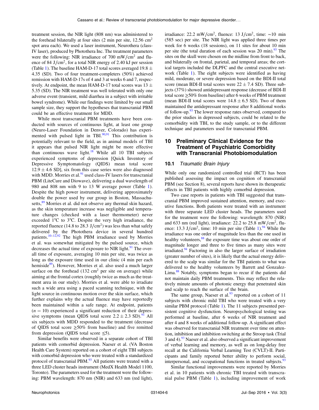treatment session, the NIR light (808 nm) was administered to the forehead bilaterally at four sites (2 min per site, 12.56 cm<sup>2</sup> spot area each). We used a laser instrument, Neurothera (class-IV laser), produced by Photothera Inc. The treatment parameters were the following: NIR irradiance of 700 mW/cm<sup>2</sup> and fluence of 84 J/cm<sup>2</sup>, for a total NIR energy of 2.40 kJ per session (Table 1). The baseline HAM-D-17 total scores averaged 19.8  $\pm$ 4.35 (SD). Two of four treatment-completers (50%) achieved remission with HAM-D-17s of 4 and 3 at weeks 6 and 7, respectively. At endpoint, the mean HAM-D-17 total scores was  $13 \pm$ 5.35 (SD). The NIR treatment was well tolerated with only one adverse event (transient, mild diarrhea in a subject with irritable bowel syndrome). While our findings were limited by our small sample size, they support the hypotheses that transcranial PBM could be an effective treatment for MDD.

While most transcranial PBM treatments have been conducted with sources of continuous light, at least one group (Neuro-Laser Foundation in Denver, Colorado) has experimented with pulsed light in TBI. $90,91$  This contribution is potentially relevant to the field, as in animal models of TBI it appears that pulsed NIR light might be more effective than continuous wave light. $18$  While all 10 TBI subjects experienced symptoms of depression [Quick Inventory of Depressive Symptomatology (QIDS) mean total score  $12.9 \pm 4.6$  SD], six from this case series were also diagnosed with MDD. Morries et al.<sup>[91](#page-10-0)</sup> used class-IV lasers for transcranial PBM (LiteCure and Diowave), delivering a dual wavelength of 980 and 808 nm with 9 to 13 W average power (Table 1). Despite the high power instrument, delivering approximately double the power used by our group in Boston, Massachu-setts,<sup>[89](#page-10-0)</sup> Morries et al. did not observe any thermal skin hazard, as the skin temperature increase was negligible and temperature changes (checked with a laser thermometer) never exceeded 1°C to 3°C. Despite the very high irradiance, the reported fluence (14.8 to 28.3 J/cm<sup>2</sup>) was less than what safely delivered by the Photothera device in several hundred patients.<sup>[10](#page-8-0)–[12](#page-8-0)[,92](#page-10-0)</sup> The high PBM irradiance used by Morries et al. was somewhat mitigated by the pulsed source, which decreases the actual time of exposure to NIR light.<sup>[91](#page-10-0)</sup> The overall time of exposure, averaging 10 min per site, was twice as long as the exposure time used in our clinic (4 min per each hemiside<sup>[89](#page-10-0)</sup>). However, Morries et al. also used a much larger surface on the forehead  $(132 \text{ cm}^2 \text{ per site on average})$  while aiming at the frontal cortex (roughly twice as much as the treatment area in our study). Morries et al. were able to irradiate such a wide area using a paced scanning technique, with the light source in continuous motion over the skin surface, which further explains why the actual fluence may have reportedly been maintained within a safe range. At endpoint, patients  $(n = 10)$  experienced a significant reduction of their depressive symptoms (mean QIDS total score  $2.2 \pm 2.3$  SD).<sup>[91](#page-10-0)</sup> All six subjects with MDD responded to the treatment (decrease of QIDS total score  $\geq 50\%$  from baseline) and five remitted from depression (QIDS total score  $\leq 5$ ).

Similar benefits were observed in a separate cohort of TBI patients with comorbid depression. Naeser et al. (VA Boston Health Care System) reported on a cohort of eight TBI subjects with comorbid depression who were treated with a standardized protocol of transcranial PBM.<sup>[93](#page-10-0)</sup> All patients were treated with a three LED cluster heads instrument (MedX Health Model 1100, Toronto). The parameters used for the treatment were the following: PBM wavelength: 870 nm (NIR) and 633 nm (red light), irradiance: 22.2 mW∕cm2, fluence: 13 J∕cm<sup>2</sup>, time: ∼10 min (585 sec) per site. The NIR light was applied three times per week for 6 weeks (18 sessions), on 11 sites for about 10 min per site (the total duration of each session was  $20 \text{ min.}^{93}$  $20 \text{ min.}^{93}$  $20 \text{ min.}^{93}$  The sites on the skull were chosen on the midline from front to back, and bilaterally on frontal, parietal, and temporal areas; the cortical targets included the DLPFC and the central executive network (Table 1). The eight subjects were identified as having mild, moderate, or severe depression based on the BDI-II total score (mean BDI-II total scores were  $22 \pm 7.4$  SD). Three subjects (37%) showed antidepressant response (decrease of BDI-II total score ≥50% from baseline) after 6 weeks of PBM treatment (mean BDI-II total scores were  $14.8 \pm 6.5$  SD). Two of them maintained the antidepressant response after 8 additional weeks of follow-up.<sup>93</sup> The lower response rates observed, compared to the prior studies in depressed subjects, could be related to the comorbidity with TBI, to the study sample, or to the different technique and parameters used for transcranial PBM.

#### 10 Preliminary Clinical Evidence for the Treatment of Psychiatric Comorbidity with Transcranial Photobiomodulation

#### 10.1 Traumatic Brain Injury

While only one randomized controlled trial (RCT) has been published assessing the impact on cognition of transcranial PBM (see Section 8), several reports have shown its therapeutic effects in TBI patients with highly comorbid depression.

Two case reports in patients with TBI suggested that transcranial PBM improved sustained attention, memory, and executive functions. Both patients were treated with an instrument with three separate LED cluster heads. The parameters used for the treatment were the following: wavelength: 870 (NIR) and 633 nm (red light), irradiance: 22.2 to 25.8 mW/cm<sup>2</sup>, flu-ence: 13.3 J/cm<sup>2</sup>, time: 10 min per site (Table 1).<sup>[94](#page-10-0)</sup> While the irradiance was one order of magnitude less than the one used in healthy volunteers,<sup>88</sup> the exposure time was about one order of magnitude longer and three to five times as many sites were irradiated.[94](#page-10-0) Factoring in also the larger surface of irradiation (greater number of sites), it is likely that the actual energy delivered to the scalp was similar for the TBI patients to what was delivered to the healthy volunteers by Barrett and Gonzalez-Lima.<sup>[88](#page-10-0)</sup> Notably, symptoms began to recur if the patients did not maintain daily PBM treatments. This may reflect the relatively minute amounts of photonic energy that penetrated skin and scalp to reach the surface of the brain.

The same group, Naeser et al. $93$  reported on a cohort of 11 subjects with chronic mild TBI who were treated with a very similar PBM protocol (Table 1). The 11 subjects presented persistent cognitive dysfunction. Neuropsychological testing was performed at baseline, after 6 weeks of NIR treatment and after 4 and 8 weeks of additional follow-up. A significant effect was observed for transcranial NIR treatment over time on attention, inhibition and inhibition switching at the Stroop task (Trial 3 and 4). $^{93}$  $^{93}$  $^{93}$  Naeser et al. also observed a significant improvement of verbal learning and memory, as well as on long-delay free recall at the California Verbal Learning Test (CVLT)-II. Participants and family reported better ability to perform social, interpersonal, and occupational functions in treated subjects.<sup>[93](#page-10-0)</sup>

Similar functional improvements were reported by Morries et al. in 10 patients with chronic TBI treated with transcranial pulse PBM (Table 1), including improvement of work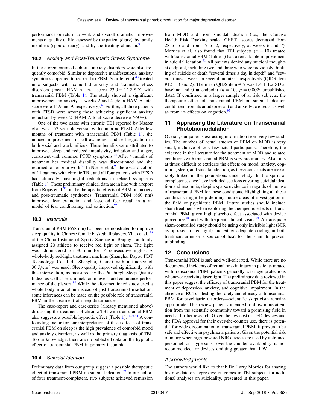performance or return to work and overall dramatic improvements of quality of life, assessed by the patient (diary), by family members (spousal diary), and by the treating clinician.<sup>[91](#page-10-0)</sup>

#### 10.2 Anxiety and Post-Traumatic Stress Syndrome

In the aforementioned cohorts, anxiety disorders were also frequently comorbid. Similar to depressive manifestations, anxiety symptoms appeared to respond to PBM. Schiffer et al.<sup>[40](#page-9-0)</sup> treated nine subjects with comorbid anxiety and traumatic stress disorders (mean HAM-A total score  $23.0 \pm 12.2$  SD) with transcranial PBM (Table 1). The study showed a significant improvement in anxiety at weeks 2 and 4 (delta HAM-A total score were 14.9 and 9, respectively). $^{40}$  $^{40}$  $^{40}$  Further, all three patients with PTSD were among those achieving significant anxiety reduction by week 2 (HAM-A total score decrease  $\geq 50\%$ ).

One of the two cases with chronic TBI reported by Naeser et al. was a 52-year-old veteran with comorbid PTSD. After few months of treatment with transcranial PBM (Table 1), she noticed improvement in self-awareness and self-regulation in both social and work milieus. These benefits were attributed to improved sleep and reduced impulsivity, irritation and anger, consistent with common PTSD symptoms.<sup>[94](#page-10-0)</sup> After 4 months of treatment her medical disability was discontinued and she returned to her prior work.<sup>94</sup> In Naeser et al.<sup>[93](#page-10-0)</sup> there was a cohort of 11 patients with chronic TBI, and all four patients with PTSD had clinically meaningful reductions in related symptoms (Table 1). These preliminary clinical data are in line with a report from Rojas et al.<sup>[95](#page-10-0)</sup> on the therapeutic effects of PBM on anxiety and post-traumatic syndromes. Transcranial PBM (660 nm) improved fear extinction and lessened fear recall in a rat model of fear conditioning and extinction.<sup>95</sup>

#### 10.3 Insomnia

Transcranial PBM (658 nm) has been demonstrated to improve sleep quality in Chinese female basketball players. Zhao et al., <sup>96</sup> at the China Institute of Sports Science in Beijing, randomly assigned 20 athletes to receive red light or sham. The light was administered for 30 min for 14 consecutive nights. A whole-body red-light treatment machine (Shanghai Dayou PDT Technology Co, Ltd., Shanghai, China) with a fluence of 30 J/cm<sup>2</sup> was used. Sleep quality improved significantly with this intervention, as measured by the Pittsburgh Sleep Quality Index, as well as serum melatonin levels, and endurance perfor-mance of the players.<sup>[96](#page-10-0)</sup> While the aforementioned study used a whole body irradiation instead of just transcranial irradiation, some inferences can be made on the possible role of transcranial PBM in the treatment of sleep disturbances.

The case-report and case-series (already mentioned above) discussing the treatment of chronic TBI with transcranial PBM also suggests a possible hypnotic effect (Table 1).  $91,93,94$  A confounding factor for our interpretation of these effects of transcranial PBM on sleep is the high prevalence of comorbid mood and anxiety disorders, as well as the primary diagnosis of TBI. To our knowledge, there are no published data on the hypnotic effect of transcranial PBM in primary insomnia.

#### 10.4 Suicidal Ideation

Preliminary data from our group suggest a possible therapeutic effect of transcranial PBM on suicidal ideation.<sup>89</sup> In our cohort of four treatment-completers, two subjects achieved remission from MDD and from suicidal ideation (i.e., the Concise Health Risk Tracking scale—CHRT—scores decreased from 28 to 5 and from 17 to 2, respectively, at weeks 6 and 7). Morries et al. also found that TBI subjects  $(n = 10)$  treated with transcranial PBM (Table 1) had a remarkable improvement in suicidal ideation.<sup>[91](#page-10-0)</sup> All patients denied any suicidal thoughts at endpoint, including two and three who were previously thinking of suicide or death "several times a day in depth" and "several times a week for several minutes," respectively (QIDS item #12 = 3 and 2). The mean QIDS item #12 was  $1.4 \pm 1.2$  SD at baseline and 0 at endpoint ( $n = 10$ ;  $p = 0.002$ ; unpublished data). If confirmed in a larger sample of at risk subjects, the therapeutic effect of transcranial PBM on suicidal ideation could stem from its antidepressant and anxiolytic effects, as well as from its effects on cognition.<sup>97</sup>

#### 11 Appraising the Literature on Transcranial Photobiomodulation

Overall, our paper is extracting information from very few studies. The number of actual studies of PBM on MDD is very small, inclusive of very few actual participants. Therefore, the evidence in the literature for the treatment of MDD and related conditions with transcranial PBM is very preliminary. Also, it is at times difficult to extricate the effects on mood, anxiety, cognition, sleep, and suicidal ideation, as these constructs are inexorably linked in the populations under study. In the spirit of completeness, we have included sections covering suicidal ideation and insomnia, despite sparse evidence in regards of the use of transcranial PBM for these conditions. Highlighting all these conditions might help defining future areas of investigation in the field of psychiatric PBM. Future studies should include sham treatments when exploring the therapeutic effects of transcranial PBM, given high placebo effect associated with device procedures $98$  and with frequent clinical visits.<sup>[99](#page-10-0)</sup> An adequate sham-controlled study should be using only invisible light (NIR as opposed to red light) and either adequate cooling in both treatment arms or a source of heat for the sham to prevent unblinding.

#### 12 Conclusions

Transcranial PBM is safe and well-tolerated. While there are no documented incidents of retinal or skin injury in patients treated with transcranial PBM, patients generally wear eye protections whenever receiving laser light. The preliminary data reviewed in this paper suggest the efficacy of transcranial PBM for the treatment of depression, anxiety, and cognitive impairment. In the absence of RCTs—testing the safety and efficacy of transcranial PBM for psychiatric disorders—scientific skepticism remains appropriate. This review paper is intended to draw more attention from the scientific community toward a promising field in need of further research. Given the low cost of LED devices and the FDA approval for their over-the-counter use, there is potential for wide dissemination of transcranial PBM, if proven to be safe and effective in psychiatric patients. Given the potential risk of injury when high-powered NIR devices are used by untrained personnel or laypersons, over-the-counter availability is not recommended for devices emitting greater than 1 W.

#### Acknowledgments

The authors would like to thank Dr. Larry Morries for sharing his raw data on depressive outcomes in TBI subjects for additional analyses on suicidality, presented in this paper.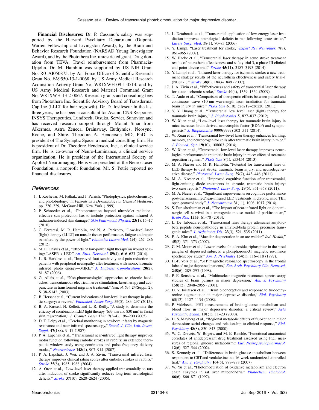<span id="page-8-0"></span>Financial Disclosures: Dr. P. Cassano's salary was supported by the Harvard Psychiatry Department (Dupont-Warren Fellowship and Livingston Award), by the Brain and Behavior Research Foundation (NARSAD Young Investigator Award), and by the Photothera Inc. unrestricted grant. Drug donation from TEVA. Travel reimbursement from Pharmacia-Upjohn. Dr. M. Hamblin was supported by US NIH Grant No. R01AI050875, by Air Force Office of Scientific Research Grant No. FA9550-13-1-0068, by US Army Medical Research Acquisition Activity Grant No. W81XWH-09-1-0514, and by US Army Medical Research and Materiel Command Grant No. W81XWH-13-2-0067. Research grants and consulting fees from Photothera Inc. Scientific Advisory Board of Transdermal Cap Inc (LLLT for hair regrowth). Dr. D. Iosifescu: In the last three years, he has been a consultant for Avanir, CNS Response, INSYS Therapeutics, Lundbeck, Otsuka, Servier, Sunovion and has received research support through Mount Sinai from Alkermes, Astra Zeneca, Brainsway, Euthymics, Neosync, Roche, and Shire. Theodore A. Henderson MD, PhD, is president of The Synaptic Space, a medical consulting firm. He is president of Dr. Theodore Henderson, Inc., a clinical service firm. He is co-owner of Neuro-Luminance, a clinical service organization. He is president of the International Society of Applied Neuroimaging. He is vice-president of the Neuro-Laser Foundation, a nonprofit foundation. Mr. S. Petrie reported no financial disclosures.

#### References

- 1. I. Kochevar, M. Pathak, and J. Parrish, "Photophysics, photochemistry, and photobiology," in Fitzpatrick's Dermatology in General Medicine, pp. 220–229, McGraw-Hill, New York (1999).
- 2. P. Schroeder et al., "Photoprotection beyond ultraviolet radiation– effective sun protection has to include protection against infrared A radiation-induced skin damage," [Skin Pharmacol. Physiol.](http://dx.doi.org/10.1159/000257259) 23(1), 15–17 (2010).
- 3. C. Ferraresi, M. R. Hamblin, and N. A. Parizotto, "Low-level laser (light) therapy (LLLT) on muscle tissue: performance, fatigue and repair benefited by the power of light," *[Photonics Lasers Med.](http://dx.doi.org/10.1515/plm-2012-0032)* 1(4), 267-286 (2012).
- 4. M. E. Chaves et al., "Effects of low-power light therapy on wound healing: LASER x LED," [An. Bras. Dermatol.](http://dx.doi.org/10.1590/abd1806-4841.20142519) 89(4), 616–623 (2014).
- 5. L. B. Harkless et al., "Improved foot sensitivity and pain reduction in patients with peripheral neuropathy after treatment with monochromatic infrared photo energy—MIRE," [J. Diabetes Complications](http://dx.doi.org/10.1016/j.jdiacomp.2005.06.002) 20(2), 81–87 (2006).
- 6. G. Allais et al., "Non-pharmacological approaches to chronic headaches: transcutaneous electrical nerve stimulation, lasertherapy and acupuncture in transformed migraine treatment," Neurol. Sci. 24(Suppl. 2), S138–S142 (2003).
- 7. B. Hersant et al., "Current indications of low-level laser therapy in plastic surgery: a review," *[Photomed. Laser Surg.](http://dx.doi.org/10.1089/pho.2014.3822)* 33(5), 283–297 (2015).
- 8. B. A. Russell, N. Kellett, and L. R. Reilly, "A study to determine the efficacy of combination LED light therapy (633 nm and 830 nm) in facial skin rejuvenation," J. Cosmet. Laser Ther. 7(3–4), 196–200 (2005).
- 9. D. T. Delpy et al., "Cerebral monitoring in newborn infants by magnetic resonance and near infrared spectroscopy," [Scand. J. Clin. Lab. Invest.](http://dx.doi.org/10.1080/00365518709168165) [Suppl.](http://dx.doi.org/10.1080/00365518709168165) 47(188), 9-17 (1987).
- 10. P. A. Lapchak et al., "Transcranial near-infrared light therapy improves motor function following embolic strokes in rabbits: an extended therapeutic window study using continuous and pulse frequency delivery modes," [Neuroscience](http://dx.doi.org/10.1016/j.neuroscience.2007.07.002) 148(4), 907–914 (2007).
- 11. P. A. Lapchak, J. Wei, and J. A. Zivin, "Transcranial infrared laser therapy improves clinical rating scores after embolic strokes in rabbits," [Stroke](http://dx.doi.org/10.1161/01.STR.0000131808.69640.b7) 35(8), 1985–1988 (2004).
- 12. A. Oron et al., "Low-level laser therapy applied transcranially to rats after induction of stroke significantly reduces long-term neurological deficits," [Stroke](http://dx.doi.org/10.1161/01.STR.0000242775.14642.b8) 37(10), 2620-2624 (2006).
- 13. L. Detaboada et al., "Transcranial application of low-energy laser irradiation improves neurological deficits in rats following acute stroke," [Lasers Surg. Med](http://dx.doi.org/10.1002/lsm.20256). 38(1), 70-73 (2006).
- 14. Y. Lampl, "Laser treatment for stroke," [Expert Rev Neurother.](http://dx.doi.org/10.1586/14737175.7.8.961) 7(8), 961–965 (2007).
- 15. W. Hacke et al., "Transcranial laser therapy in acute stroke treatment results of neurothera effectiveness and safety trial 3, a phase III clinical end point device trial," [Stroke](http://dx.doi.org/10.1161/STROKEAHA.114.005795) 45(11), 3187-3193 (2014).
- 16. Y. Lampl et al., "Infrared laser therapy for ischemic stroke: a new treatment strategy results of the neurothera effectiveness and safety trial-1 (NEST-1)," [Stroke](http://dx.doi.org/10.1161/STROKEAHA.106.478230) 38(6), 1843–1849 (2007).
- 17. J. A. Zivin et al., "Effectiveness and safety of transcranial laser therapy for acute ischemic stroke," [Stroke](http://dx.doi.org/10.1161/STROKEAHA.109.547547) 40(4), 1359–1364 (2009).
- 18. T. Ando et al., "Comparison of therapeutic effects between pulsed and continuous wave 810-nm wavelength laser irradiation for traumatic brain injury in mice," [PLoS One](http://dx.doi.org/10.1371/journal.pone.0026212) 6(10), e26212-e26220 (2011).
- 19. Y. Y. Huang et al., "Transcranial low level laser (light) therapy for traumatic brain injury," [J. Biophotonics](http://dx.doi.org/10.1002/jbio.201200077) 5, 827–837 (2012).
- 20. W. Xuan et al., "Low-level laser therapy for traumatic brain injury in mice increases brain derived neurotrophic factor (BDNF) and synapto-genesis," [J. Biophotonics](http://dx.doi.org/10.1002/jbio.201400069) 9999(9999) 502-511 (2014).
- 21. W. Xuan et al., "Transcranial low-level laser therapy enhances learning, memory, and neuroprogenitor cells after traumatic brain injury in mice," [J. Biomed. Opt.](http://dx.doi.org/10.1117/1.JBO.19.10.108003) 19(10), 108003 (2014).
- 22. W. Xuan et al., "Transcranial low-level laser therapy improves neurological performance in traumatic brain injury in mice: effect of treatment repetition regimen,"  $PLoS$  One 8(1), e53454 (2013).
- 23. M. A. Naeser and M. R. Hamblin, "Potential for transcranial laser or LED therapy to treat stroke, traumatic brain injury, and neurodegener-ative disease," [Photomed. Laser Surg.](http://dx.doi.org/10.1089/pho.2011.9908) 29(7), 443-446 (2011).
- 24. M. A. Naeser et al., "Improved cognitive function after transcranial, light-emitting diode treatments in chronic, traumatic brain injury: two case reports," [Photomed. Laser Surg.](http://dx.doi.org/10.1089/pho.2010.2814) 29(5), 351–358 (2011).
- 25. M. A. Naeser et al., "Significant improvements on cognitive performance post-transcranial, red/near-infrared LED treatments in chronic, mild TBI: open-protocol study," *[J. Neurotrauma](http://dx.doi.org/10.1089/neu.2013.3244)* 31(11), 1008-1017 (2014).
- 26. S. Purushothuman et al., "The impact of near-infrared light on dopaminergic cell survival in a transgenic mouse model of parkinsonism," [Brain Res.](http://dx.doi.org/10.1016/j.brainres.2013.08.047) 1535, 61–70 (2013).
- 27. L. De Taboada et al., "Transcranial laser therapy attenuates amyloidbeta peptide neuropathology in amyloid-beta protein precursor trans-genic mice," [J. Alzheimers Dis.](http://dx.doi.org/10.3233/JAD-2010-100894) 23(3), 521-535 (2011).
- 28. E. A. Kim et al., "Macular degeneration in an arc welder," Ind. Health," 45(2), 371–373 (2007).
- 29. C. M. Moore et al., "Lower levels of nucleoside triphosphate in the basal ganglia of depressed subjects: a phosphorous-31 magnetic resonance spectroscopy study," [Am. J. Psychiatry](http://dx.doi.org/10.1176/ajp.154.1.116) 154(1), 116-118 (1997).
- 30. H.-P. Volz et al., "31P magnetic resonance spectroscopy in the frontal lobe of major depressed patients," [Eur. Arch. Psychiatry Clin. Neurosci.](http://dx.doi.org/10.1007/s004060050052) 248(6), 289–295 (1998).
- 31. P. F. Renshaw et al., "Multinuclear magnetic resonance spectroscopy studies of brain purines in major depression," [Am. J. Psychiatry](http://dx.doi.org/10.1176/appi.ajp.158.12.2048) 158(12), 2048–2055 (2001).
- 32. D. V. Iosifescu et al., "Brain bioenergetics and response to triiodothy-ronine augmentation in major depressive disorder," [Biol. Psychiatry](http://dx.doi.org/10.1016/j.biopsych.2007.11.020) 63(12), 1127–1134 (2008).
- 33. P. Videbech, "PET measurements of brain glucose metabolism and blood flow in major depressive disorder: a critical review," [Acta](http://dx.doi.org/10.1034/j.1600-0447.2000.101001011.x) [Psychiatr. Scand.](http://dx.doi.org/10.1034/j.1600-0447.2000.101001011.x) 101(1), 11–20 (2000).
- 34. H. S. Mayberg et al., "Regional metabolic effects of fluoxetine in major depression: serial changes and relationship to clinical response," [Biol.](http://dx.doi.org/10.1016/S0006-3223(00)01036-2) [Psychiatry](http://dx.doi.org/10.1016/S0006-3223(00)01036-2) 48(8), 830–843 (2000).
- 35. W. C. Drevets, W. Bogers, and M. E. Raichle, "Functional anatomical correlates of antidepressant drug treatment assessed using PET mea-sures of regional glucose metabolism," [Eur. Neuropsychopharmacol.](http://dx.doi.org/10.1016/S0924-977X(02)00102-5) 12(6), 527–544 (2002).
- 36. S. Kennedy et al., "Differences in brain glucose metabolism between responders to CBT and venlafaxine in a 16-week randomized controlled trial," [Am. J. Psychiatry](http://dx.doi.org/10.1176/ajp.2007.164.5.778) 164(5), 778–788 (2007).
- 37. W. Yu et al., "Photomodulation of oxidative metabolism and electron chain enzymes in rat liver mitochondria," [Photochem. Photobiol.](http://dx.doi.org/10.1111/j.1751-1097.1997.tb03239.x) 66(6), 866–871 (1997).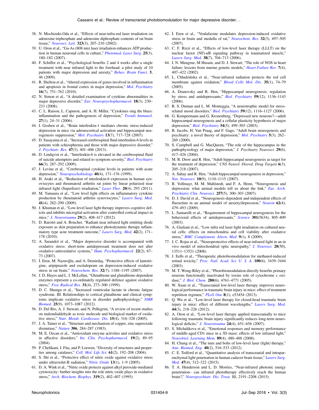- <span id="page-9-0"></span>38. N. Mochizuki-Oda et al., "Effects of near-infra-red laser irradiation on adenosine triphosphate and adenosine diphosphate contents of rat brain tissue," [Neurosci. Lett.](http://dx.doi.org/10.1016/S0304-3940(02)00159-3) 323(3), 207-210 (2002).
- 39. U. Oron et al., "Ga-As (808 nm) laser irradiation enhances ATP production in human neuronal cells in culture," *[Photomed. Laser Surg.](http://dx.doi.org/10.1089/pho.2007.2064)* 25(3), 180–182 (2007).
- 40. F. Schiffer et al., "Psychological benefits 2 and 4 weeks after a single treatment with near infrared light to the forehead: a pilot study of 10 patients with major depression and anxiety," [Behav. Brain Funct.](http://dx.doi.org/10.1186/1744-9081-5-46) 5, 46 (2009).
- 41. R. Shelton et al., "Altered expression of genes involved in inflammation and apoptosis in frontal cortex in major depression," [Mol. Psychiatry](http://dx.doi.org/10.1038/mp.2010.52) 16(7), 751–762 (2010).
- 42. N. Simon et al., "A detailed examination of cytokine abnormalities in major depressive disorder," [Eur. Neuropsychopharmacol.](http://dx.doi.org/10.1016/j.euroneuro.2007.06.004) 18(3), 230– 233 (2008).
- 43. C. L. Raison, L. Capuron, and A. H. Miller, "Cytokines sing the blues: inflammation and the pathogenesis of depression," [Trends Immunol.](http://dx.doi.org/10.1016/j.it.2005.11.006)  $27(1)$ , 24–31 (2006).
- 44. I. Goshen et al., "Brain interleukin-1 mediates chronic stress-induced depression in mice via adrenocortical activation and hippocampal neurogenesis suppression," [Mol. Psychiatry](http://dx.doi.org/10.1038/sj.mp.4002055) 13(7), 717–728 (2007).
- 45. D. Sasayama et al., "Increased cerebrospinal fluid interleukin-6 levels in patients with schizophrenia and those with major depressive disorder," [J. Psychiatr. Res.](http://dx.doi.org/10.1016/j.jpsychires.2012.12.001) 47(3), 401–406 (2013).
- 46. D. Lindqvist et al., "Interleukin-6 is elevated in the cerebrospinal fluid of suicide attempters and related to symptom severity," [Biol. Psychiatry](http://dx.doi.org/10.1016/j.biopsych.2009.01.030) 66(3), 287–292 (2009).
- 47. J. Levine et al., "Cerebrospinal cytokine levels in patients with acute depression," [Neuropsychobiology](http://dx.doi.org/10.1159/000026615) 40(4), 171-176 (1999).
- 48. H. Araki et al., "Reduction of interleukin-6 expression in human synoviocytes and rheumatoid arthritis rat joints by linear polarized near infrared light (Superlizer) irradiation," [Laser Ther.](http://dx.doi.org/10.5978/islsm.11-OR_01) 20(4), 293 (2011).
- 49. M. Yamaura et al., "Low level light effects on inflammatory cytokine production by rheumatoid arthritis synoviocytes," [Lasers Surg. Med.](http://dx.doi.org/10.1002/lsm.20766) 41(4), 282–290 (2009).
- 50. J. Khuman et al., "Low-level laser light therapy improves cognitive deficits and inhibits microglial activation after controlled cortical impact in mice," *[J. Neurotrauma](http://dx.doi.org/10.1089/neu.2010.1745)* 29(2), 408-417 (2012).
- 51. D. Barolet and A. Boucher, "Radiant near infrared light emitting diode exposure as skin preparation to enhance photodynamic therapy inflam-matory type acne treatment outcome," [Lasers Surg. Med.](http://dx.doi.org/10.1002/lsm.20886) 42(2), 171-178 (2010).
- 52. A. Sarandol et al., "Major depressive disorder is accompanied with oxidative stress: short‐term antidepressant treatment does not alter oxidative–antioxidative systems," [Hum. Psychopharmacol.](http://dx.doi.org/10.1002/hup.829) 22(2), 67– 73 (2007).
- 53. İ. Eren, M. Nazıroğlu, and A. Demirdaş, "Protective effects of lamotrigine, aripiprazole and escitalopram on depression-induced oxidative stress in rat brain," [Neurochem. Res.](http://dx.doi.org/10.1007/s11064-007-9289-x) 32(7), 1188-1195 (2007).
- 54. J. D. Hayes and L. I. McLellan, "Glutathione and glutathione-dependent enzymes represent a co-ordinately regulated defence against oxidative stress," [Free Radical Res.](http://dx.doi.org/10.1080/10715769900300851) 31(4), 273–300 (1999).
- 55. D. C. Shungu et al., "Increased ventricular lactate in chronic fatigue syndrome. III. Relationships to cortical glutathione and clinical symptoms implicate oxidative stress in disorder pathophysiology," [NMR](http://dx.doi.org/10.1002/nbm.2772) [Biomed.](http://dx.doi.org/10.1002/nbm.2772) 25(9), 1073–1087 (2012).
- 56. D. Del Rio, A. J. Stewart, and N. Pellegrini, "A review of recent studies on malondialdehyde as toxic molecule and biological marker of oxidative stress," [Nutr. Metab. Cardiovasc. Dis.](http://dx.doi.org/10.1016/j.numecd.2005.05.003) 15(4), 316–328 (2005).
- 57. J. A. Tainer et al., "Structure and mechanism of copper, zinc superoxide dismutase," [Nature](http://dx.doi.org/10.1038/306284a0) 306, 284-287 (1983).
- 58. M. E. Ozcan et al., "Antioxidant enzyme activities and oxidative stress in affective disorders," *[Int. Clin. Psychopharmacol.](http://dx.doi.org/10.1097/00004850-200403000-00006)* 19(2), 89-95 (2004).
- 59. P. Chelikani, I. Fita, and P. Loewen, "Diversity of structures and proper-ties among catalases," [Cell. Mol. Life Sci.](http://dx.doi.org/10.1007/s00018-003-3206-5) 61(2), 192-208 (2004).
- 60. S. Shi et al., "Protective effect of nitric oxide against oxidative stress under ultraviolet-B radiation," [Nitric Oxide](http://dx.doi.org/10.1016/j.niox.2005.04.006) 13(1), 1-9 (2005).
- 61. D. A. Wink et al., "Nitric oxide protects against alkyl peroxide-mediated cytotoxicity: further insights into the role nitric oxide plays in oxidative stress," [Arch. Biochem. Biophys.](http://dx.doi.org/10.1006/abbi.1995.1310) 319(2), 402–407 (1995).
- 62. İ. Eren et al., "Venlafaxine modulates depression-induced oxidative stress in brain and medulla of rat," [Neurochem. Res.](http://dx.doi.org/10.1007/s11064-006-9258-9) 32(3), 497–505 (2007).
- 63. C. F. Rizzi et al., "Effects of low‐level laser therapy (LLLT) on the nuclear factor (NF)‐κB signaling pathway in traumatized muscle," [Lasers Surg. Med.](http://dx.doi.org/10.1002/lsm.20371) 38(7), 704–713 (2006).
- 64. I. N. Mungrue, M Husain, and D. J. Stewart, "The role of NOS in heart failure: lessons from murine genetic models," [Heart Failure Rev.](http://dx.doi.org/10.1023/A:1020762401408) 7(4), 407–422 (2002).
- 65. L. Chludzińska et al., "Near-infrared radiation protects the red cell membrane against oxidation," [Blood Cells Mol. Dis.](http://dx.doi.org/10.1016/j.bcmd.2005.04.003) 35(1), 74–79 (2005).
- 66. A. Dranovsky and R. Hen, "Hippocampal neurogenesis: regulation by stress and antidepressants," [Biol. Psychiatry](http://dx.doi.org/10.1016/j.biopsych.2006.03.082) 59(12), 1136-1143 (2006).
- 67. R. S. Duman and L. M. Monteggia, "A neurotrophic model for stress-related mood disorders," [Biol. Psychiatry](http://dx.doi.org/10.1016/j.biopsych.2006.02.013) 59(12), 1116-1127 (2006).
- 68. G. Kempermann and G. Kronenberg, "Depressed new neurons?—adult hippocampal neurogenesis and a cellular plasticity hypothesis of major depression," *[Biol. Psychiatry](http://dx.doi.org/10.1016/S0006-3223(03)00319-6)* 54(5), 499-503 (2003).
- 69. B. Jacobs, H. Van Praag, and F. Gage, "Adult brain neurogenesis and psychiatry: a novel theory of depression," [Mol. Psychiatry](http://dx.doi.org/10.1038/sj.mp.4000712) 5(3), 262– 269 (2000).
- 70. S. Campbell and G. MacQueen, "The role of the hippocampus in the pathophysiology of major depression," J. Psychiatry Neurosci. 29(6), 417–426 (2004).
- 71. M. R. Drew and R. Hen, "Adult hippocampal neurogenesis as target for the treatment of depression," CNS Neurol. Disord. Drug Targets 6(3), 205–218 (2007).
- 72. A. Sahay and R. Hen, "Adult hippocampal neurogenesis in depression," [Nat. Neurosci.](http://dx.doi.org/10.1038/nn1969) 10(9), 1110–1115 (2007).
- 73. B. Vollmayr, M. M. Mahlstedt, and F. A. Henn, "Neurogenesis and depression: what animal models tell us about the link," [Eur. Arch.](http://dx.doi.org/10.1007/s00406-007-0734-2) [Psychiatry Clin. Neurosci.](http://dx.doi.org/10.1007/s00406-007-0734-2) 257(5), 300–303 (2007).
- 74. D. J. David et al., "Neurogenesis-dependent and-independent effects of fluoxetine in an animal model of anxiety/depression," [Neuron](http://dx.doi.org/10.1016/j.neuron.2009.04.017) 62(4), 479–493 (2009).
- 75. L. Santarelli et al., "Requirement of hippocampal neurogenesis for the behavioral effects of antidepressants," [Science](http://dx.doi.org/10.1126/science.1083328) 301(5634), 805–809 (2003).
- 76. A. Giuliani et al., "Low infra red laser light irradiation on cultured neural cells: effects on mitochondria and cell viability after oxidative stress," [BMC Complement. Altern. Med.](http://dx.doi.org/10.1186/1472-6882-9-8) 9(1), 8 (2009).
- 77. J. C. Rojas et al., "Neuroprotective effects of near-infrared light in an in vivo model of mitochondrial optic neuropathy," [J. Neurosci.](http://dx.doi.org/10.1523/JNEUROSCI.3457-08.2008) 28(50), 13511–13521 (2008).
- 78. J. Eells et al., "Therapeutic photobiomodulation for methanol-induced retinal toxicity," [Proc. Natl. Acad. Sci. U. S. A.](http://dx.doi.org/10.1073/pnas.0534746100) 100(6), 3439–3444 (2003).
- 79. M. T. Wong-Riley et al., "Photobiomodulation directly benefits primary neurons functionally inactivated by toxins role of cytochrome c oxidase," [J. Biol. Chem.](http://dx.doi.org/10.1074/jbc.M409650200) 280(6), 4761–4771 (2005).
- 80. W. Xuan et al., "Transcranial low-level laser therapy improves neurological performance in traumatic brain injury in mice: effect of treatment repetition regimen," [PLoS One](http://dx.doi.org/10.1371/journal.pone.0053454)  $8(1)$ , e53454 (2013).
- 81. Q. Wu et al., "Low‐level laser therapy for closed‐head traumatic brain injury in mice: effect of different wavelengths," [Lasers Surg. Med.](http://dx.doi.org/10.1002/lsm.22003) 44(3), 218–226 (2012).
- 82. A. Oron et al., "Low-level laser therapy applied transcranially to mice following traumatic brain injury significantly reduces long-term neurological deficits," [J. Neurotrauma](http://dx.doi.org/10.1089/neu.2006.0198) 24(4), 651–656 (2007).
- 83. S. Michalikova et al., "Emotional responses and memory performance of middle-aged CD1 mice in a 3D maze: effects of low infrared light," [Neurobiol. Learning Mem.](http://dx.doi.org/10.1016/j.nlm.2007.07.014) 89(4), 480–488 (2008).
- 84. H. Chung et al., "The nuts and bolts of low-level laser (light) therapy," [Ann. Biomed. Eng.](http://dx.doi.org/10.1007/s10439-011-0454-7) 40(2), 516–533 (2012).
- 85. C. E. Tedford et al., "Quantitative analysis of transcranial and intrapar-enchymal light penetration in human cadaver brain tissue," [Lasers Surg.](http://dx.doi.org/10.1002/lsm.22343) [Med.](http://dx.doi.org/10.1002/lsm.22343) 47(4), 312-322 (2015).
- 86. T. A. Henderson and L. D. Morries, "Near-infrared photonic energy penetration– can infrared phototherapy effectively reach the human brain?," [Neuropsychiatr. Dis. Treat.](http://dx.doi.org/10.2147/NDT.S78182) 11, 2191–2208 (2015).